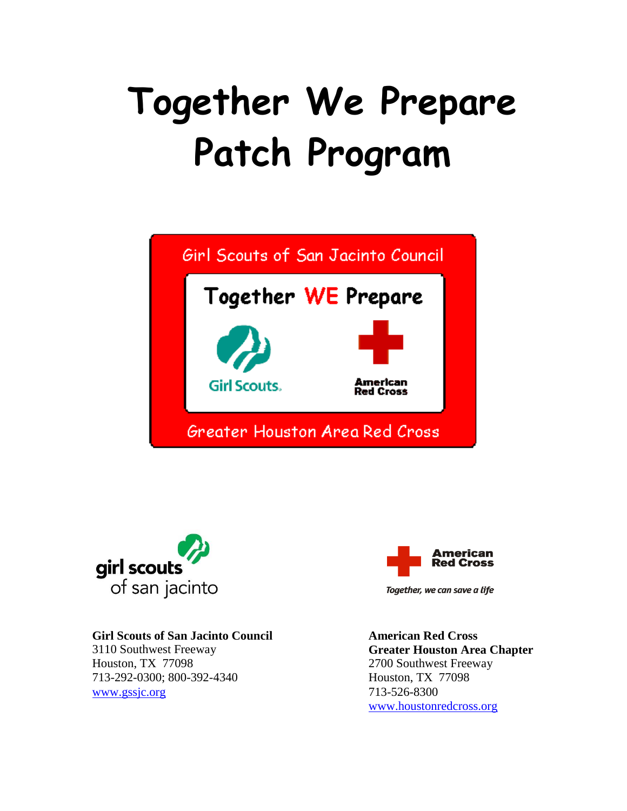# **Together We Prepare Patch Program**





#### **Girl Scouts of San Jacinto Council**

3110 Southwest Freeway Houston, TX 77098 713-292-0300; 800-392-4340 [www.gssjc.org](http://www.gssjc.org/)



Together, we can save a life

**American Red Cross Greater Houston Area Chapter** 2700 Southwest Freeway Houston, TX 77098 713-526-8300 [www.houstonredcross.org](http://www.houstonredcross.org/)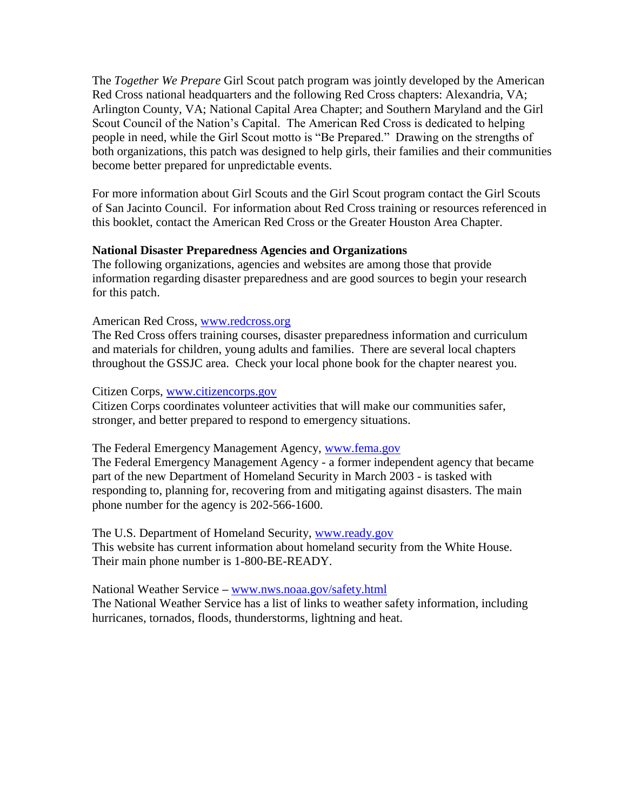The *Together We Prepare* Girl Scout patch program was jointly developed by the American Red Cross national headquarters and the following Red Cross chapters: Alexandria, VA; Arlington County, VA; National Capital Area Chapter; and Southern Maryland and the Girl Scout Council of the Nation's Capital. The American Red Cross is dedicated to helping people in need, while the Girl Scout motto is "Be Prepared." Drawing on the strengths of both organizations, this patch was designed to help girls, their families and their communities become better prepared for unpredictable events.

For more information about Girl Scouts and the Girl Scout program contact the Girl Scouts of San Jacinto Council. For information about Red Cross training or resources referenced in this booklet, contact the American Red Cross or the Greater Houston Area Chapter.

#### **National Disaster Preparedness Agencies and Organizations**

The following organizations, agencies and websites are among those that provide information regarding disaster preparedness and are good sources to begin your research for this patch.

#### American Red Cross, [www.redcross.org](http://www.redcross.org/)

The Red Cross offers training courses, disaster preparedness information and curriculum and materials for children, young adults and families. There are several local chapters throughout the GSSJC area. Check your local phone book for the chapter nearest you.

#### Citizen Corps, [www.citizencorps.gov](http://www.citizencorps.gov/)

Citizen Corps coordinates volunteer activities that will make our communities safer, stronger, and better prepared to respond to emergency situations.

#### The Federal Emergency Management Agency, [www.fema.gov](http://www.fema.gov/)

The Federal Emergency Management Agency - a former independent agency that became part of the new Department of Homeland Security in March 2003 - is tasked with responding to, planning for, recovering from and mitigating against disasters. The main phone number for the agency is 202-566-1600.

The U.S. Department of Homeland Security, [www.ready.gov](http://www.whitehouse.gov/homeland) This website has current information about homeland security from the White House. Their main phone number is 1-800-BE-READY.

National Weather Service **–** [www.nws.noaa.gov/safety.html](http://www.nws.noaa.gov/safety.html) The National Weather Service has a list of links to weather safety information, including hurricanes, tornados, floods, thunderstorms, lightning and heat.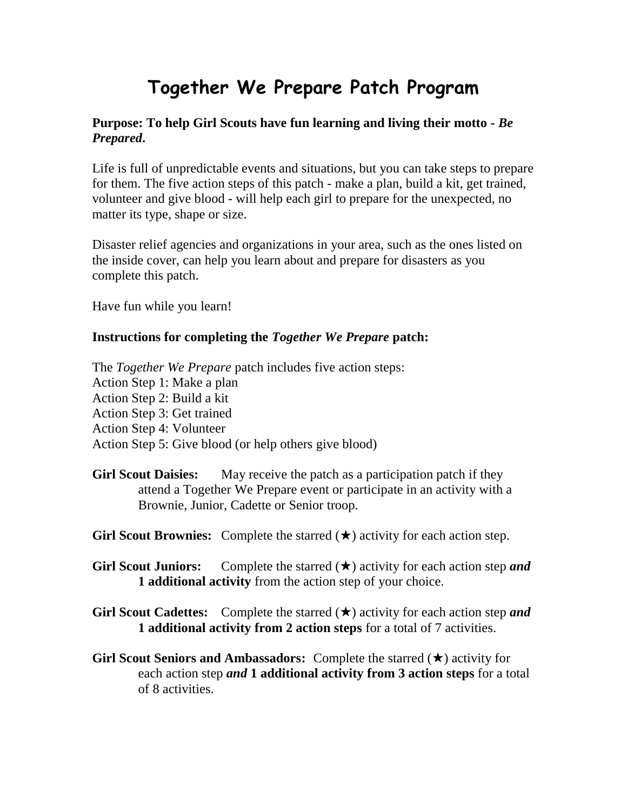## **Together We Prepare Patch Program**

#### **Purpose: To help Girl Scouts have fun learning and living their motto -** *Be Prepared***.**

Life is full of unpredictable events and situations, but you can take steps to prepare for them. The five action steps of this patch - make a plan, build a kit, get trained, volunteer and give blood - will help each girl to prepare for the unexpected, no matter its type, shape or size.

Disaster relief agencies and organizations in your area, such as the ones listed on the inside cover, can help you learn about and prepare for disasters as you complete this patch.

Have fun while you learn!

#### **Instructions for completing the** *Together We Prepare* **patch:**

The *Together We Prepare* patch includes five action steps: Action Step 1: Make a plan Action Step 2: Build a kit Action Step 3: Get trained Action Step 4: Volunteer Action Step 5: Give blood (or help others give blood)

- **Girl Scout Daisies:** May receive the patch as a participation patch if they attend a Together We Prepare event or participate in an activity with a Brownie, Junior, Cadette or Senior troop.
- **Girl Scout Brownies:** Complete the starred  $(\star)$  activity for each action step.
- **Girl Scout Juniors:** Complete the starred  $(\star)$  activity for each action step *and* **1 additional activity** from the action step of your choice.
- **Girl Scout Cadettes:** Complete the starred  $(\star)$  activity for each action step *and* **1 additional activity from 2 action steps** for a total of 7 activities.
- **Girl Scout Seniors and Ambassadors:** Complete the starred  $(\star)$  activity for each action step *and* **1 additional activity from 3 action steps** for a total of 8 activities.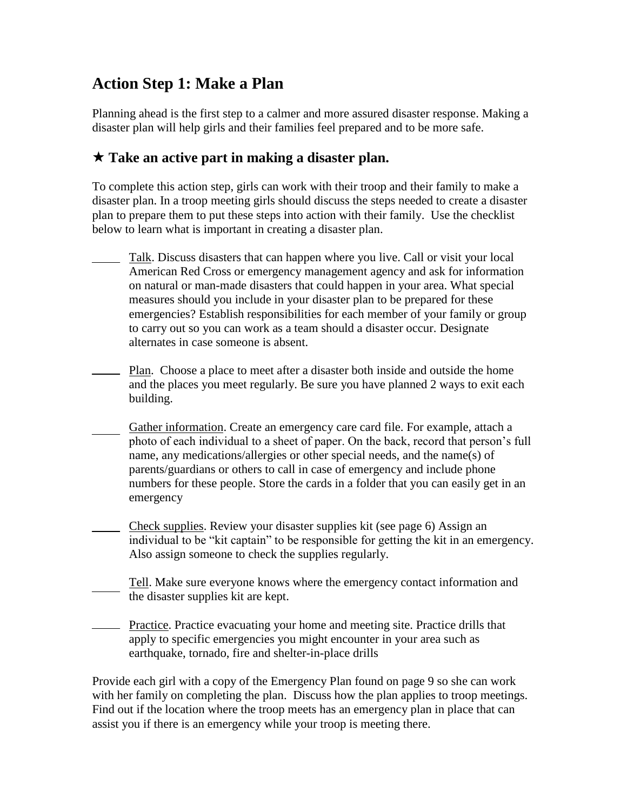## **Action Step 1: Make a Plan**

Planning ahead is the first step to a calmer and more assured disaster response. Making a disaster plan will help girls and their families feel prepared and to be more safe.

## **Take an active part in making a disaster plan.**

To complete this action step, girls can work with their troop and their family to make a disaster plan. In a troop meeting girls should discuss the steps needed to create a disaster plan to prepare them to put these steps into action with their family. Use the checklist below to learn what is important in creating a disaster plan.

- Talk. Discuss disasters that can happen where you live. Call or visit your local American Red Cross or emergency management agency and ask for information on natural or man-made disasters that could happen in your area. What special measures should you include in your disaster plan to be prepared for these emergencies? Establish responsibilities for each member of your family or group to carry out so you can work as a team should a disaster occur. Designate alternates in case someone is absent.
- Plan. Choose a place to meet after a disaster both inside and outside the home and the places you meet regularly. Be sure you have planned 2 ways to exit each building.
- Gather information. Create an emergency care card file. For example, attach a photo of each individual to a sheet of paper. On the back, record that person's full name, any medications/allergies or other special needs, and the name(s) of parents/guardians or others to call in case of emergency and include phone numbers for these people. Store the cards in a folder that you can easily get in an emergency
- Check supplies. Review your disaster supplies kit (see page 6) Assign an individual to be "kit captain" to be responsible for getting the kit in an emergency. Also assign someone to check the supplies regularly.
- Tell. Make sure everyone knows where the emergency contact information and the disaster supplies kit are kept.
- **Practice.** Practice evacuating your home and meeting site. Practice drills that apply to specific emergencies you might encounter in your area such as earthquake, tornado, fire and shelter-in-place drills

Provide each girl with a copy of the Emergency Plan found on page 9 so she can work with her family on completing the plan. Discuss how the plan applies to troop meetings. Find out if the location where the troop meets has an emergency plan in place that can assist you if there is an emergency while your troop is meeting there.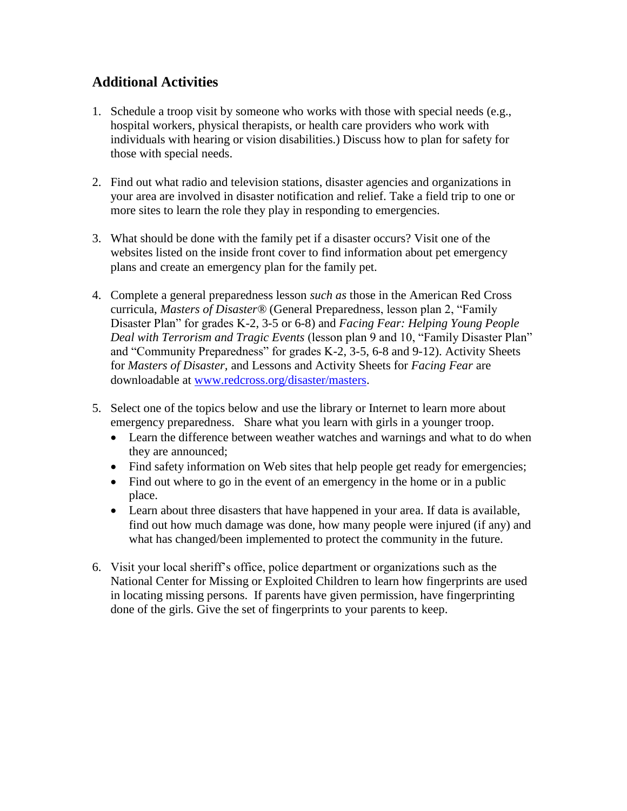## **Additional Activities**

- 1. Schedule a troop visit by someone who works with those with special needs (e.g., hospital workers, physical therapists, or health care providers who work with individuals with hearing or vision disabilities.) Discuss how to plan for safety for those with special needs.
- 2. Find out what radio and television stations, disaster agencies and organizations in your area are involved in disaster notification and relief. Take a field trip to one or more sites to learn the role they play in responding to emergencies.
- 3. What should be done with the family pet if a disaster occurs? Visit one of the websites listed on the inside front cover to find information about pet emergency plans and create an emergency plan for the family pet.
- 4. Complete a general preparedness lesson *such as* those in the American Red Cross curricula, *Masters of Disaster®* (General Preparedness, lesson plan 2, "Family Disaster Plan" for grades K-2, 3-5 or 6-8) and *Facing Fear: Helping Young People Deal with Terrorism and Tragic Events* (lesson plan 9 and 10, "Family Disaster Plan" and "Community Preparedness" for grades K-2, 3-5, 6-8 and 9-12). Activity Sheets for *Masters of Disaster,* and Lessons and Activity Sheets for *Facing Fear* are downloadable at [www.redcross.org/disaster/masters.](http://www.redcross.org/disaster/masters)
- 5. Select one of the topics below and use the library or Internet to learn more about emergency preparedness. Share what you learn with girls in a younger troop.
	- Learn the difference between weather watches and warnings and what to do when they are announced;
	- Find safety information on Web sites that help people get ready for emergencies;
	- Find out where to go in the event of an emergency in the home or in a public place.
	- Learn about three disasters that have happened in your area. If data is available, find out how much damage was done, how many people were injured (if any) and what has changed/been implemented to protect the community in the future.
- 6. Visit your local sheriff's office, police department or organizations such as the National Center for Missing or Exploited Children to learn how fingerprints are used in locating missing persons. If parents have given permission, have fingerprinting done of the girls. Give the set of fingerprints to your parents to keep.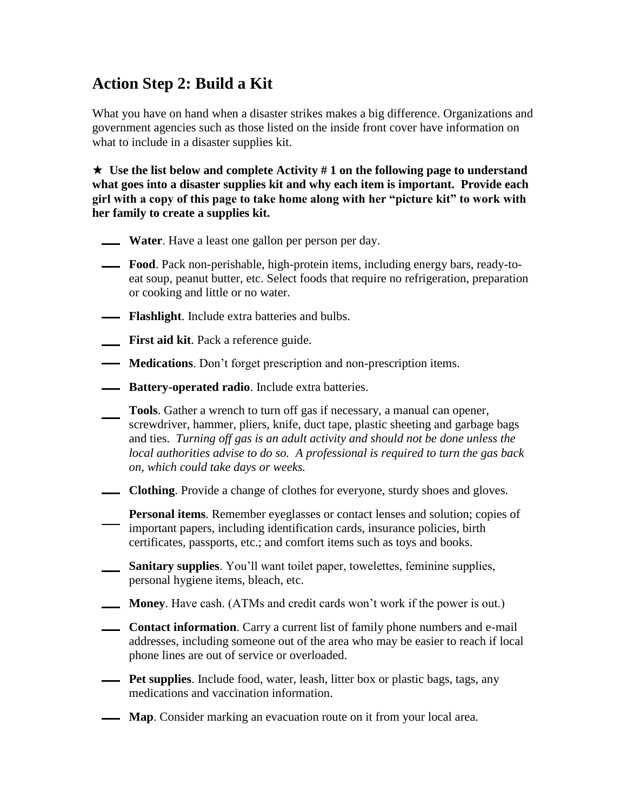## **Action Step 2: Build a Kit**

What you have on hand when a disaster strikes makes a big difference. Organizations and government agencies such as those listed on the inside front cover have information on what to include in a disaster supplies kit.

 $\star$  Use the list below and complete Activity # 1 on the following page to understand **what goes into a disaster supplies kit and why each item is important. Provide each girl with a copy of this page to take home along with her "picture kit" to work with her family to create a supplies kit.** 

- **Water**. Have a least one gallon per person per day.
- **Food**. Pack non-perishable, high-protein items, including energy bars, ready-toeat soup, peanut butter, etc. Select foods that require no refrigeration, preparation or cooking and little or no water.
- **Flashlight**. Include extra batteries and bulbs.
- **First aid kit**. Pack a reference guide.
- **Medications**. Don't forget prescription and non-prescription items.
- **ABILA:** Battery-operated radio. Include extra batteries.
- **Tools**. Gather a wrench to turn off gas if necessary, a manual can opener, screwdriver, hammer, pliers, knife, duct tape, plastic sheeting and garbage bags and ties. *Turning off gas is an adult activity and should not be done unless the local authorities advise to do so. A professional is required to turn the gas back on, which could take days or weeks.*
- **Clothing**. Provide a change of clothes for everyone, sturdy shoes and gloves.
	- **Personal items**. Remember eyeglasses or contact lenses and solution; copies of important papers, including identification cards, insurance policies, birth certificates, passports, etc.; and comfort items such as toys and books.
- **Sanitary supplies**. You'll want toilet paper, towelettes, feminine supplies, personal hygiene items, bleach, etc.
- **Money**. Have cash. (ATMs and credit cards won't work if the power is out.)
- **Contact information.** Carry a current list of family phone numbers and e-mail addresses, including someone out of the area who may be easier to reach if local phone lines are out of service or overloaded.
- **Pet supplies**. Include food, water, leash, litter box or plastic bags, tags, any medications and vaccination information.
- **Map.** Consider marking an evacuation route on it from your local area.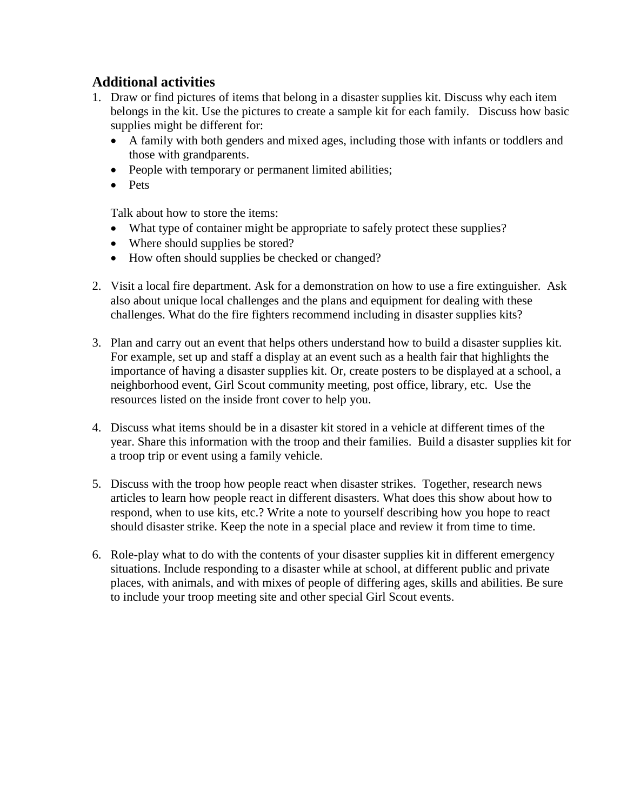## **Additional activities**

- 1. Draw or find pictures of items that belong in a disaster supplies kit. Discuss why each item belongs in the kit. Use the pictures to create a sample kit for each family. Discuss how basic supplies might be different for:
	- A family with both genders and mixed ages, including those with infants or toddlers and those with grandparents.
	- People with temporary or permanent limited abilities;
	- Pets

Talk about how to store the items:

- What type of container might be appropriate to safely protect these supplies?
- Where should supplies be stored?
- How often should supplies be checked or changed?
- 2. Visit a local fire department. Ask for a demonstration on how to use a fire extinguisher. Ask also about unique local challenges and the plans and equipment for dealing with these challenges. What do the fire fighters recommend including in disaster supplies kits?
- 3. Plan and carry out an event that helps others understand how to build a disaster supplies kit. For example, set up and staff a display at an event such as a health fair that highlights the importance of having a disaster supplies kit. Or, create posters to be displayed at a school, a neighborhood event, Girl Scout community meeting, post office, library, etc. Use the resources listed on the inside front cover to help you.
- 4. Discuss what items should be in a disaster kit stored in a vehicle at different times of the year. Share this information with the troop and their families. Build a disaster supplies kit for a troop trip or event using a family vehicle.
- 5. Discuss with the troop how people react when disaster strikes. Together, research news articles to learn how people react in different disasters. What does this show about how to respond, when to use kits, etc.? Write a note to yourself describing how you hope to react should disaster strike. Keep the note in a special place and review it from time to time.
- 6. Role-play what to do with the contents of your disaster supplies kit in different emergency situations. Include responding to a disaster while at school, at different public and private places, with animals, and with mixes of people of differing ages, skills and abilities. Be sure to include your troop meeting site and other special Girl Scout events.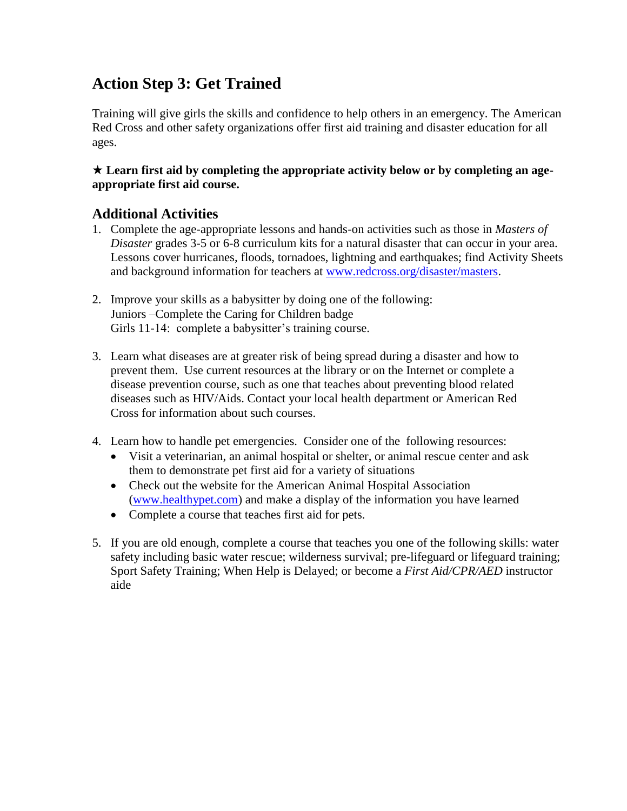## **Action Step 3: Get Trained**

Training will give girls the skills and confidence to help others in an emergency. The American Red Cross and other safety organizations offer first aid training and disaster education for all ages.

#### **Learn first aid by completing the appropriate activity below or by completing an ageappropriate first aid course.**

## **Additional Activities**

- 1. Complete the age-appropriate lessons and hands-on activities such as those in *Masters of Disaster* grades 3-5 or 6-8 curriculum kits for a natural disaster that can occur in your area. Lessons cover hurricanes, floods, tornadoes, lightning and earthquakes; find Activity Sheets and background information for teachers at [www.redcross.org/disaster/masters.](http://www.redcross.org/disaster/masters)
- 2. Improve your skills as a babysitter by doing one of the following: Juniors –Complete the Caring for Children badge Girls 11-14: complete a babysitter's training course.
- 3. Learn what diseases are at greater risk of being spread during a disaster and how to prevent them. Use current resources at the library or on the Internet or complete a disease prevention course, such as one that teaches about preventing blood related diseases such as HIV/Aids. Contact your local health department or American Red Cross for information about such courses.
- 4. Learn how to handle pet emergencies. Consider one of the following resources:
	- Visit a veterinarian, an animal hospital or shelter, or animal rescue center and ask them to demonstrate pet first aid for a variety of situations
	- Check out the website for the American Animal Hospital Association [\(www.healthypet.com\)](http://www.healthypet.com/) and make a display of the information you have learned
	- Complete a course that teaches first aid for pets.
- 5. If you are old enough, complete a course that teaches you one of the following skills: water safety including basic water rescue; wilderness survival; pre-lifeguard or lifeguard training; Sport Safety Training; When Help is Delayed; or become a *First Aid/CPR/AED* instructor aide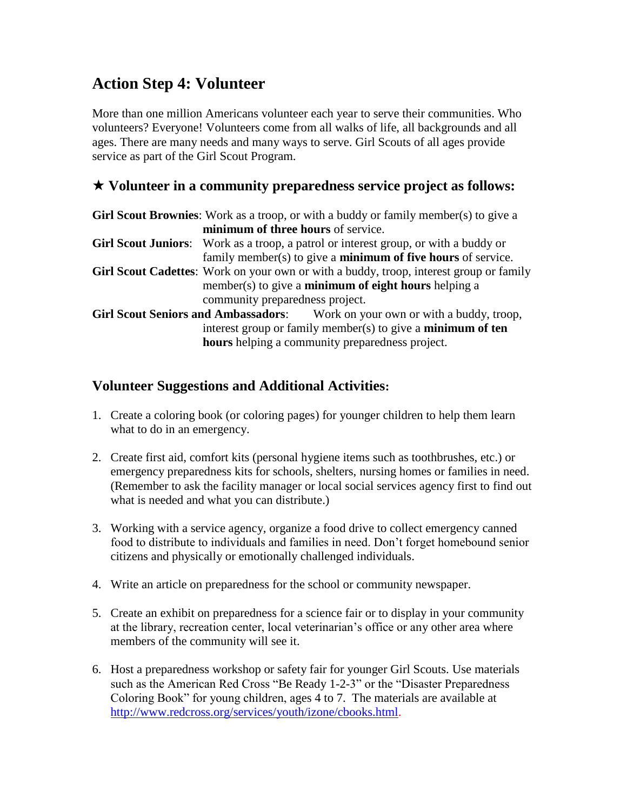## **Action Step 4: Volunteer**

More than one million Americans volunteer each year to serve their communities. Who volunteers? Everyone! Volunteers come from all walks of life, all backgrounds and all ages. There are many needs and many ways to serve. Girl Scouts of all ages provide service as part of the Girl Scout Program.

## **Volunteer in a community preparedness service project as follows:**

| <b>Girl Scout Brownies:</b> Work as a troop, or with a buddy or family member(s) to give a    |
|-----------------------------------------------------------------------------------------------|
| minimum of three hours of service.                                                            |
| Girl Scout Juniors: Work as a troop, a patrol or interest group, or with a buddy or           |
| family member( $s$ ) to give a <b>minimum of five hours</b> of service.                       |
| <b>Girl Scout Cadettes:</b> Work on your own or with a buddy, troop, interest group or family |
| member(s) to give a <b>minimum of eight hours</b> helping a                                   |
| community preparedness project.                                                               |
| <b>Girl Scout Seniors and Ambassadors:</b> Work on your own or with a buddy, troop,           |
| interest group or family member(s) to give a <b>minimum of ten</b>                            |
| hours helping a community preparedness project.                                               |

## **Volunteer Suggestions and Additional Activities:**

- 1. Create a coloring book (or coloring pages) for younger children to help them learn what to do in an emergency.
- 2. Create first aid, comfort kits (personal hygiene items such as toothbrushes, etc.) or emergency preparedness kits for schools, shelters, nursing homes or families in need. (Remember to ask the facility manager or local social services agency first to find out what is needed and what you can distribute.)
- 3. Working with a service agency, organize a food drive to collect emergency canned food to distribute to individuals and families in need. Don't forget homebound senior citizens and physically or emotionally challenged individuals.
- 4. Write an article on preparedness for the school or community newspaper.
- 5. Create an exhibit on preparedness for a science fair or to display in your community at the library, recreation center, local veterinarian's office or any other area where members of the community will see it.
- 6. Host a preparedness workshop or safety fair for younger Girl Scouts. Use materials such as the American Red Cross "Be Ready 1-2-3" or the "Disaster Preparedness Coloring Book" for young children, ages 4 to 7. The materials are available at [http://www.redcross.org/services/youth/izone/cbooks.html.](http://www.redcross.org/services/youth/izone/cbooks.html)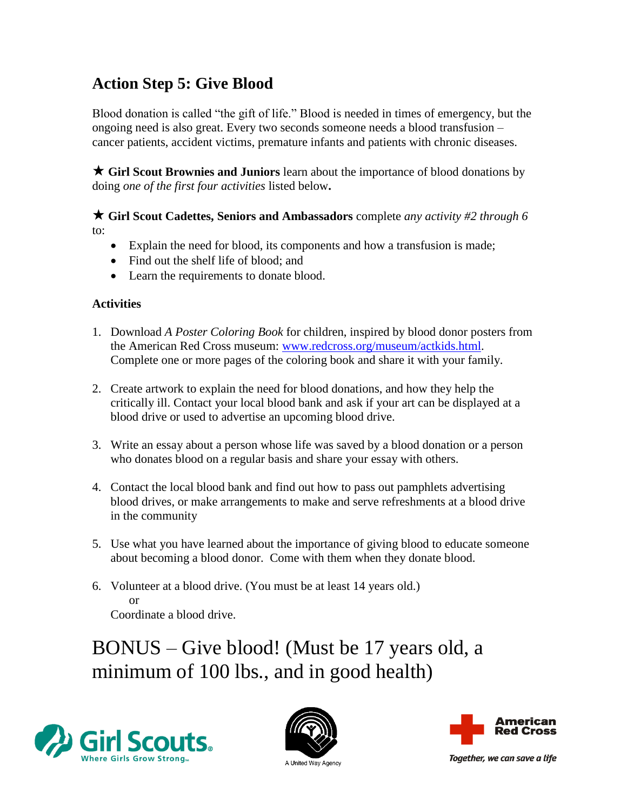## **Action Step 5: Give Blood**

Blood donation is called "the gift of life." Blood is needed in times of emergency, but the ongoing need is also great. Every two seconds someone needs a blood transfusion – cancer patients, accident victims, premature infants and patients with chronic diseases.

 **Girl Scout Brownies and Juniors** learn about the importance of blood donations by doing *one of the first four activities* listed below**.**

 **Girl Scout Cadettes, Seniors and Ambassadors** complete *any activity #2 through 6* to:

- Explain the need for blood, its components and how a transfusion is made;
- Find out the shelf life of blood; and
- Learn the requirements to donate blood.

#### **Activities**

- 1. Download *A Poster Coloring Book* for children, inspired by blood donor posters from the American Red Cross museum: [www.redcross.org/museum/actkids.html.](http://www.redcross.org/museum/actkids.html) Complete one or more pages of the coloring book and share it with your family.
- 2. Create artwork to explain the need for blood donations, and how they help the critically ill. Contact your local blood bank and ask if your art can be displayed at a blood drive or used to advertise an upcoming blood drive.
- 3. Write an essay about a person whose life was saved by a blood donation or a person who donates blood on a regular basis and share your essay with others.
- 4. Contact the local blood bank and find out how to pass out pamphlets advertising blood drives, or make arrangements to make and serve refreshments at a blood drive in the community
- 5. Use what you have learned about the importance of giving blood to educate someone about becoming a blood donor. Come with them when they donate blood.
- 6. Volunteer at a blood drive. (You must be at least 14 years old.) or Coordinate a blood drive.

BONUS – Give blood! (Must be 17 years old, a minimum of 100 lbs., and in good health)







Together, we can save a life